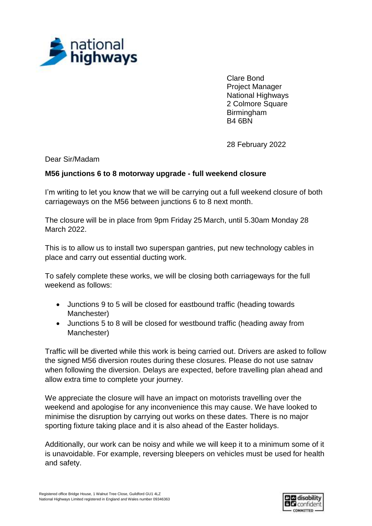

Clare Bond Project Manager National Highways 2 Colmore Square Birmingham B4 6BN

28 February 2022

Dear Sir/Madam

## **M56 junctions 6 to 8 motorway upgrade - full weekend closure**

I'm writing to let you know that we will be carrying out a full weekend closure of both carriageways on the M56 between junctions 6 to 8 next month.

The closure will be in place from 9pm Friday 25 March, until 5.30am Monday 28 March 2022.

This is to allow us to install two superspan gantries, put new technology cables in place and carry out essential ducting work.

To safely complete these works, we will be closing both carriageways for the full weekend as follows:

- Junctions 9 to 5 will be closed for eastbound traffic (heading towards Manchester)
- Junctions 5 to 8 will be closed for westbound traffic (heading away from Manchester)

Traffic will be diverted while this work is being carried out. Drivers are asked to follow the signed M56 diversion routes during these closures. Please do not use satnav when following the diversion. Delays are expected, before travelling plan ahead and allow extra time to complete your journey.

We appreciate the closure will have an impact on motorists travelling over the weekend and apologise for any inconvenience this may cause. We have looked to minimise the disruption by carrying out works on these dates. There is no major sporting fixture taking place and it is also ahead of the Easter holidays.

Additionally, our work can be noisy and while we will keep it to a minimum some of it is unavoidable. For example, reversing bleepers on vehicles must be used for health and safety.